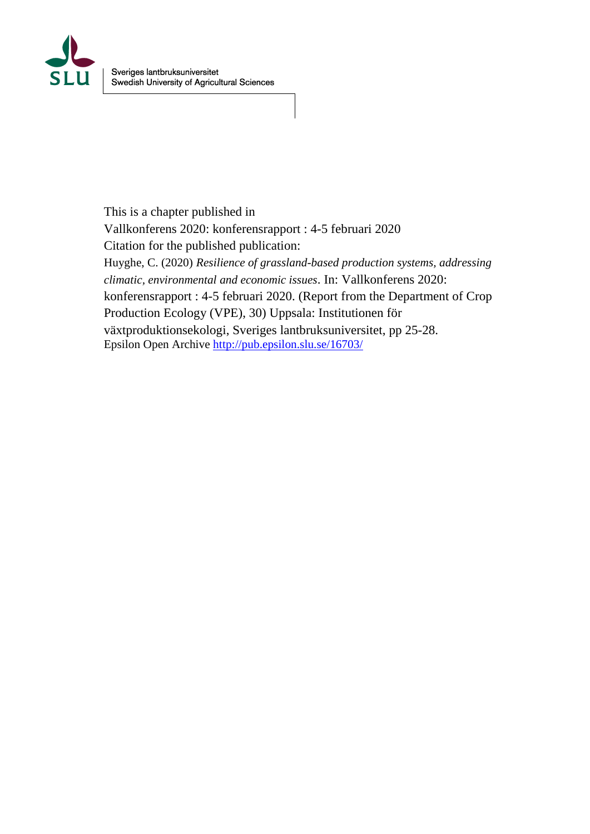

This is a chapter published in Vallkonferens 2020: konferensrapport : 4-5 februari 2020 Citation for the published publication: Huyghe, C. (2020) *Resilience of grassland-based production systems, addressing climatic, environmental and economic issues*. In: Vallkonferens 2020: konferensrapport : 4-5 februari 2020. (Report from the Department of Crop Production Ecology (VPE), 30) Uppsala: Institutionen för växtproduktionsekologi, Sveriges lantbruksuniversitet, pp 25-28. Epsilon Open Archive<http://pub.epsilon.slu.se/16703/>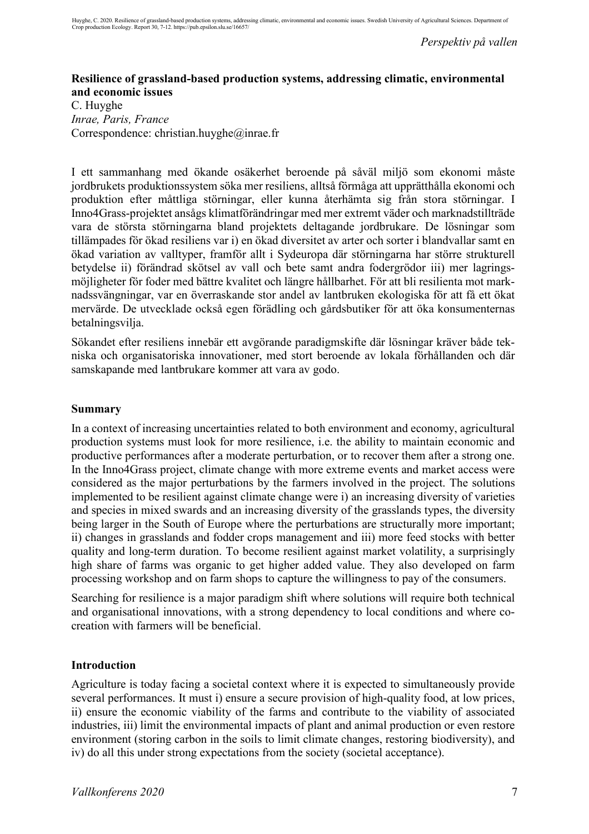*Perspektiv på vallen*

## **Resilience of grassland-based production systems, addressing climatic, environmental and economic issues**

C. Huyghe *Inrae, Paris, France* Correspondence: christian.huyghe@inrae.fr

I ett sammanhang med ökande osäkerhet beroende på såväl miljö som ekonomi måste jordbrukets produktionssystem söka mer resiliens, alltså förmåga att upprätthålla ekonomi och produktion efter måttliga störningar, eller kunna återhämta sig från stora störningar. I Inno4Grass-projektet ansågs klimatförändringar med mer extremt väder och marknadstillträde vara de största störningarna bland projektets deltagande jordbrukare. De lösningar som tillämpades för ökad resiliens var i) en ökad diversitet av arter och sorter i blandvallar samt en ökad variation av valltyper, framför allt i Sydeuropa där störningarna har större strukturell betydelse ii) förändrad skötsel av vall och bete samt andra fodergrödor iii) mer lagringsmöjligheter för foder med bättre kvalitet och längre hållbarhet. För att bli resilienta mot marknadssvängningar, var en överraskande stor andel av lantbruken ekologiska för att få ett ökat mervärde. De utvecklade också egen förädling och gårdsbutiker för att öka konsumenternas betalningsvilja.

Sökandet efter resiliens innebär ett avgörande paradigmskifte där lösningar kräver både tekniska och organisatoriska innovationer, med stort beroende av lokala förhållanden och där samskapande med lantbrukare kommer att vara av godo.

## **Summary**

In a context of increasing uncertainties related to both environment and economy, agricultural production systems must look for more resilience, i.e. the ability to maintain economic and productive performances after a moderate perturbation, or to recover them after a strong one. In the Inno4Grass project, climate change with more extreme events and market access were considered as the major perturbations by the farmers involved in the project. The solutions implemented to be resilient against climate change were i) an increasing diversity of varieties and species in mixed swards and an increasing diversity of the grasslands types, the diversity being larger in the South of Europe where the perturbations are structurally more important; ii) changes in grasslands and fodder crops management and iii) more feed stocks with better quality and long-term duration. To become resilient against market volatility, a surprisingly high share of farms was organic to get higher added value. They also developed on farm processing workshop and on farm shops to capture the willingness to pay of the consumers.

Searching for resilience is a major paradigm shift where solutions will require both technical and organisational innovations, with a strong dependency to local conditions and where cocreation with farmers will be beneficial.

#### **Introduction**

Agriculture is today facing a societal context where it is expected to simultaneously provide several performances. It must i) ensure a secure provision of high-quality food, at low prices, ii) ensure the economic viability of the farms and contribute to the viability of associated industries, iii) limit the environmental impacts of plant and animal production or even restore environment (storing carbon in the soils to limit climate changes, restoring biodiversity), and iv) do all this under strong expectations from the society (societal acceptance).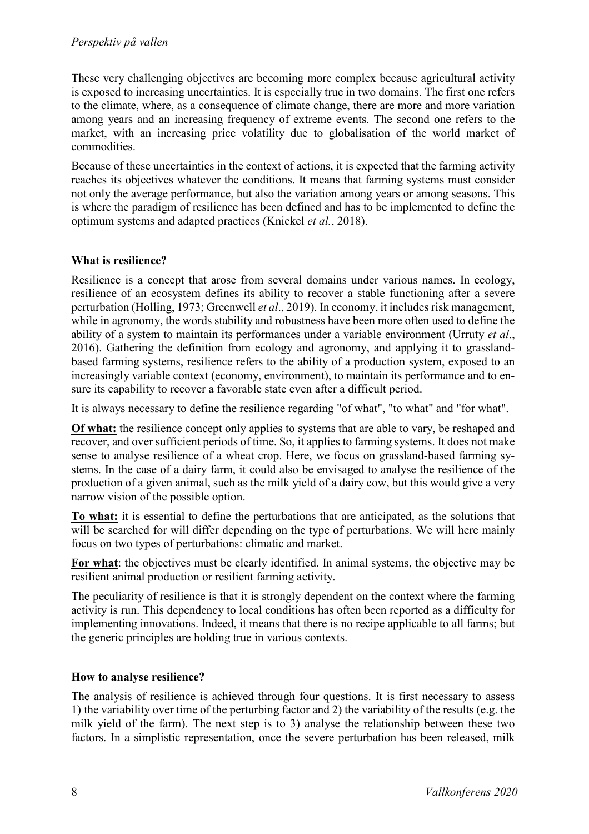These very challenging objectives are becoming more complex because agricultural activity is exposed to increasing uncertainties. It is especially true in two domains. The first one refers to the climate, where, as a consequence of climate change, there are more and more variation among years and an increasing frequency of extreme events. The second one refers to the market, with an increasing price volatility due to globalisation of the world market of commodities.

Because of these uncertainties in the context of actions, it is expected that the farming activity reaches its objectives whatever the conditions. It means that farming systems must consider not only the average performance, but also the variation among years or among seasons. This is where the paradigm of resilience has been defined and has to be implemented to define the optimum systems and adapted practices (Knickel *et al.*, 2018).

## **What is resilience?**

Resilience is a concept that arose from several domains under various names. In ecology, resilience of an ecosystem defines its ability to recover a stable functioning after a severe perturbation (Holling, 1973; Greenwell *et al*., 2019). In economy, it includes risk management, while in agronomy, the words stability and robustness have been more often used to define the ability of a system to maintain its performances under a variable environment (Urruty *et al*., 2016). Gathering the definition from ecology and agronomy, and applying it to grasslandbased farming systems, resilience refers to the ability of a production system, exposed to an increasingly variable context (economy, environment), to maintain its performance and to ensure its capability to recover a favorable state even after a difficult period.

It is always necessary to define the resilience regarding "of what", "to what" and "for what".

**Of what:** the resilience concept only applies to systems that are able to vary, be reshaped and recover, and over sufficient periods of time. So, it applies to farming systems. It does not make sense to analyse resilience of a wheat crop. Here, we focus on grassland-based farming systems. In the case of a dairy farm, it could also be envisaged to analyse the resilience of the production of a given animal, such as the milk yield of a dairy cow, but this would give a very narrow vision of the possible option.

**To what:** it is essential to define the perturbations that are anticipated, as the solutions that will be searched for will differ depending on the type of perturbations. We will here mainly focus on two types of perturbations: climatic and market.

**For what**: the objectives must be clearly identified. In animal systems, the objective may be resilient animal production or resilient farming activity.

The peculiarity of resilience is that it is strongly dependent on the context where the farming activity is run. This dependency to local conditions has often been reported as a difficulty for implementing innovations. Indeed, it means that there is no recipe applicable to all farms; but the generic principles are holding true in various contexts.

## **How to analyse resilience?**

The analysis of resilience is achieved through four questions. It is first necessary to assess 1) the variability over time of the perturbing factor and 2) the variability of the results (e.g. the milk yield of the farm). The next step is to 3) analyse the relationship between these two factors. In a simplistic representation, once the severe perturbation has been released, milk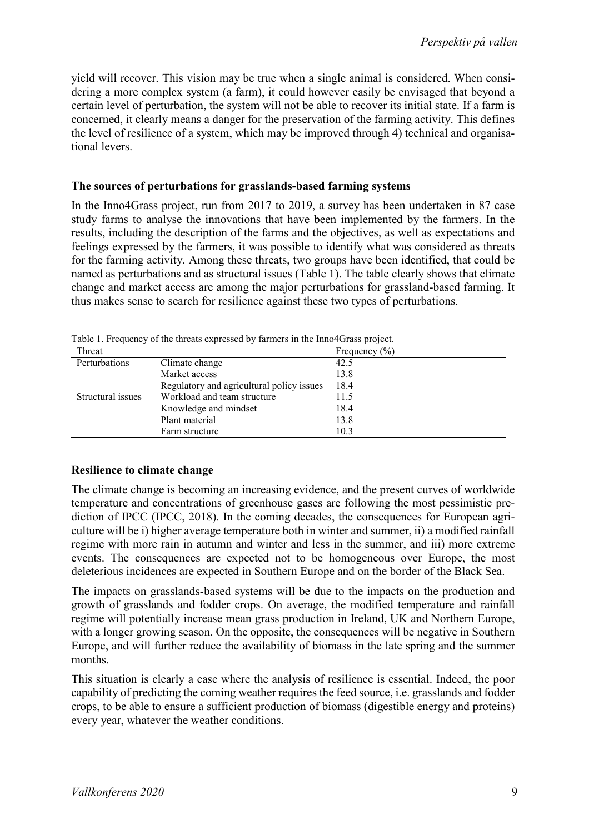yield will recover. This vision may be true when a single animal is considered. When considering a more complex system (a farm), it could however easily be envisaged that beyond a certain level of perturbation, the system will not be able to recover its initial state. If a farm is concerned, it clearly means a danger for the preservation of the farming activity. This defines the level of resilience of a system, which may be improved through 4) technical and organisational levers.

## **The sources of perturbations for grasslands-based farming systems**

In the Inno4Grass project, run from 2017 to 2019, a survey has been undertaken in 87 case study farms to analyse the innovations that have been implemented by the farmers. In the results, including the description of the farms and the objectives, as well as expectations and feelings expressed by the farmers, it was possible to identify what was considered as threats for the farming activity. Among these threats, two groups have been identified, that could be named as perturbations and as structural issues (Table 1). The table clearly shows that climate change and market access are among the major perturbations for grassland-based farming. It thus makes sense to search for resilience against these two types of perturbations.

| Table 1. Prequency of the unears expressed by familiers in the milo <del>4</del> crass project. |                                           |                   |
|-------------------------------------------------------------------------------------------------|-------------------------------------------|-------------------|
| Threat                                                                                          |                                           | Frequency $(\% )$ |
| Perturbations                                                                                   | Climate change                            | 42.5              |
|                                                                                                 | Market access                             | 13.8              |
|                                                                                                 | Regulatory and agricultural policy issues | 18.4              |
| Structural issues                                                                               | Workload and team structure               | 11.5              |
|                                                                                                 | Knowledge and mindset                     | 18.4              |
|                                                                                                 | Plant material                            | 13.8              |
|                                                                                                 | Farm structure                            | 10.3              |
|                                                                                                 |                                           |                   |

Table 1. Frequency of the threats expressed by farmers in the Inno4Grass project.

## **Resilience to climate change**

The climate change is becoming an increasing evidence, and the present curves of worldwide temperature and concentrations of greenhouse gases are following the most pessimistic prediction of IPCC (IPCC, 2018). In the coming decades, the consequences for European agriculture will be i) higher average temperature both in winter and summer, ii) a modified rainfall regime with more rain in autumn and winter and less in the summer, and iii) more extreme events. The consequences are expected not to be homogeneous over Europe, the most deleterious incidences are expected in Southern Europe and on the border of the Black Sea.

The impacts on grasslands-based systems will be due to the impacts on the production and growth of grasslands and fodder crops. On average, the modified temperature and rainfall regime will potentially increase mean grass production in Ireland, UK and Northern Europe, with a longer growing season. On the opposite, the consequences will be negative in Southern Europe, and will further reduce the availability of biomass in the late spring and the summer months.

This situation is clearly a case where the analysis of resilience is essential. Indeed, the poor capability of predicting the coming weather requires the feed source, i.e. grasslands and fodder crops, to be able to ensure a sufficient production of biomass (digestible energy and proteins) every year, whatever the weather conditions.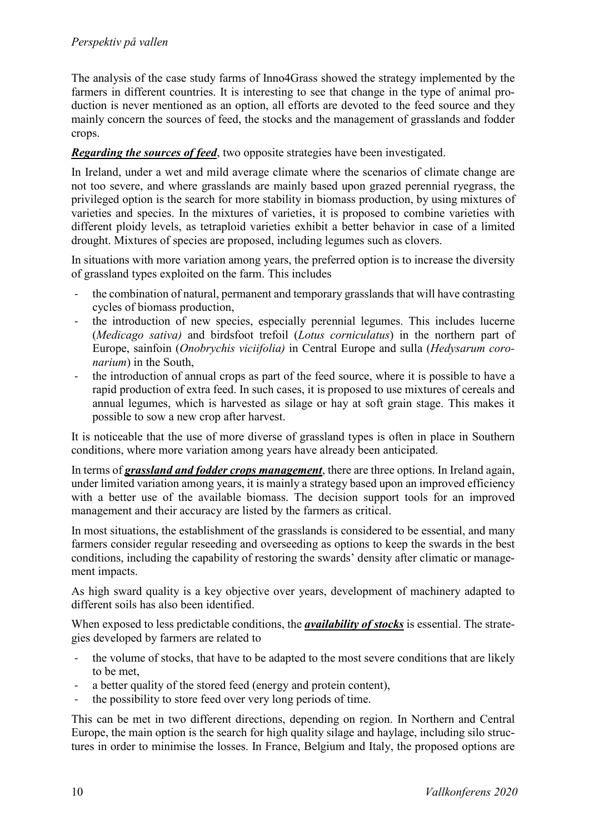The analysis of the case study farms of Inno4Grass showed the strategy implemented by the farmers in different countries. It is interesting to see that change in the type of animal production is never mentioned as an option, all efforts are devoted to the feed source and they mainly concern the sources of feed, the stocks and the management of grasslands and fodder crops.

#### *Regarding the sources of feed*, two opposite strategies have been investigated.

In Ireland, under a wet and mild average climate where the scenarios of climate change are not too severe, and where grasslands are mainly based upon grazed perennial ryegrass, the privileged option is the search for more stability in biomass production, by using mixtures of varieties and species. In the mixtures of varieties, it is proposed to combine varieties with different ploidy levels, as tetraploid varieties exhibit a better behavior in case of a limited drought. Mixtures of species are proposed, including legumes such as clovers.

In situations with more variation among years, the preferred option is to increase the diversity of grassland types exploited on the farm. This includes

- the combination of natural, permanent and temporary grasslands that will have contrasting cycles of biomass production,
- the introduction of new species, especially perennial legumes. This includes lucerne (*Medicago sativa)* and birdsfoot trefoil (*Lotus corniculatus*) in the northern part of Europe, sainfoin (*Onobrychis viciifolia)* in Central Europe and sulla (*Hedysarum coronarium*) in the South,
- the introduction of annual crops as part of the feed source, where it is possible to have a rapid production of extra feed. In such cases, it is proposed to use mixtures of cereals and annual legumes, which is harvested as silage or hay at soft grain stage. This makes it possible to sow a new crop after harvest.

It is noticeable that the use of more diverse of grassland types is often in place in Southern conditions, where more variation among years have already been anticipated.

In terms of *grassland and fodder crops management*, there are three options. In Ireland again, under limited variation among years, it is mainly a strategy based upon an improved efficiency with a better use of the available biomass. The decision support tools for an improved management and their accuracy are listed by the farmers as critical.

In most situations, the establishment of the grasslands is considered to be essential, and many farmers consider regular reseeding and overseeding as options to keep the swards in the best conditions, including the capability of restoring the swards' density after climatic or management impacts.

As high sward quality is a key objective over years, development of machinery adapted to different soils has also been identified.

When exposed to less predictable conditions, the *availability of stocks* is essential. The strategies developed by farmers are related to

- the volume of stocks, that have to be adapted to the most severe conditions that are likely to be met,
- a better quality of the stored feed (energy and protein content),
- the possibility to store feed over very long periods of time.

This can be met in two different directions, depending on region. In Northern and Central Europe, the main option is the search for high quality silage and haylage, including silo structures in order to minimise the losses. In France, Belgium and Italy, the proposed options are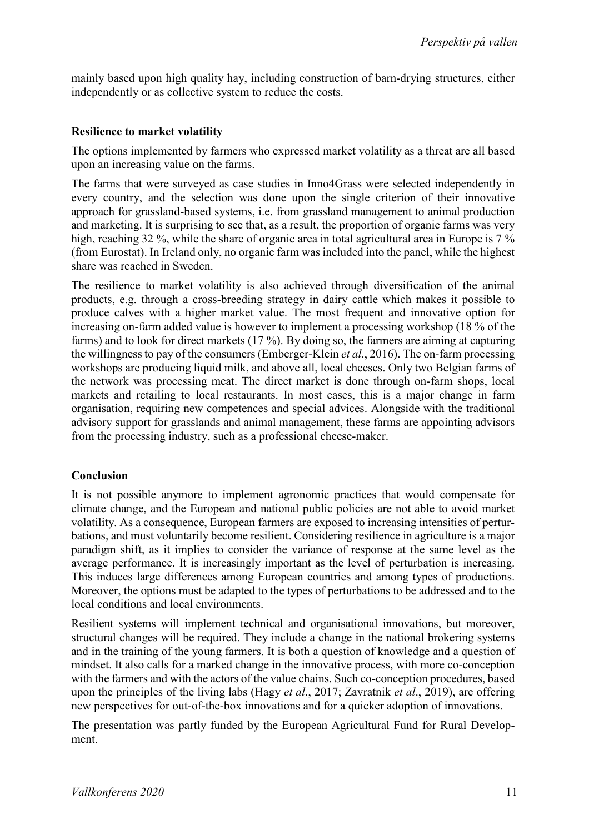mainly based upon high quality hay, including construction of barn-drying structures, either independently or as collective system to reduce the costs.

#### **Resilience to market volatility**

The options implemented by farmers who expressed market volatility as a threat are all based upon an increasing value on the farms.

The farms that were surveyed as case studies in Inno4Grass were selected independently in every country, and the selection was done upon the single criterion of their innovative approach for grassland-based systems, i.e. from grassland management to animal production and marketing. It is surprising to see that, as a result, the proportion of organic farms was very high, reaching 32 %, while the share of organic area in total agricultural area in Europe is 7 % (from Eurostat). In Ireland only, no organic farm was included into the panel, while the highest share was reached in Sweden.

The resilience to market volatility is also achieved through diversification of the animal products, e.g. through a cross-breeding strategy in dairy cattle which makes it possible to produce calves with a higher market value. The most frequent and innovative option for increasing on-farm added value is however to implement a processing workshop (18 % of the farms) and to look for direct markets (17 %). By doing so, the farmers are aiming at capturing the willingness to pay of the consumers (Emberger-Klein *et al*., 2016). The on-farm processing workshops are producing liquid milk, and above all, local cheeses. Only two Belgian farms of the network was processing meat. The direct market is done through on-farm shops, local markets and retailing to local restaurants. In most cases, this is a major change in farm organisation, requiring new competences and special advices. Alongside with the traditional advisory support for grasslands and animal management, these farms are appointing advisors from the processing industry, such as a professional cheese-maker.

## **Conclusion**

It is not possible anymore to implement agronomic practices that would compensate for climate change, and the European and national public policies are not able to avoid market volatility. As a consequence, European farmers are exposed to increasing intensities of perturbations, and must voluntarily become resilient. Considering resilience in agriculture is a major paradigm shift, as it implies to consider the variance of response at the same level as the average performance. It is increasingly important as the level of perturbation is increasing. This induces large differences among European countries and among types of productions. Moreover, the options must be adapted to the types of perturbations to be addressed and to the local conditions and local environments.

Resilient systems will implement technical and organisational innovations, but moreover, structural changes will be required. They include a change in the national brokering systems and in the training of the young farmers. It is both a question of knowledge and a question of mindset. It also calls for a marked change in the innovative process, with more co-conception with the farmers and with the actors of the value chains. Such co-conception procedures, based upon the principles of the living labs (Hagy *et al*., 2017; Zavratnik *et al*., 2019), are offering new perspectives for out-of-the-box innovations and for a quicker adoption of innovations.

The presentation was partly funded by the European Agricultural Fund for Rural Development.